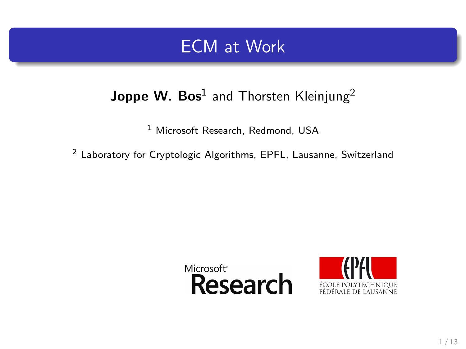### ECM at Work

### Joppe W. Bos $^1$  and Thorsten Kleinjung $^2$

<sup>1</sup> Microsoft Research, Redmond, USA

<sup>2</sup> Laboratory for Cryptologic Algorithms, EPFL, Lausanne, Switzerland

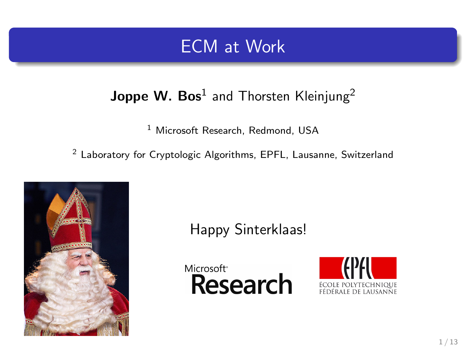### ECM at Work

### Joppe W. Bos $^1$  and Thorsten Kleinjung $^2$

<sup>1</sup> Microsoft Research, Redmond, USA

<sup>2</sup> Laboratory for Cryptologic Algorithms, EPFL, Lausanne, Switzerland



Happy Sinterklaas!

Microsoft<sup>®</sup> **Research** 

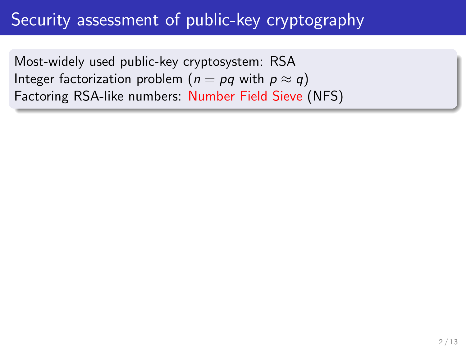## Security assessment of public-key cryptography

Most-widely used public-key cryptosystem: RSA Integer factorization problem ( $n = pq$  with  $p \approx q$ ) Factoring RSA-like numbers: Number Field Sieve (NFS)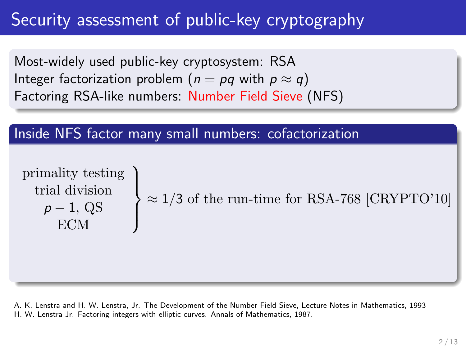## Security assessment of public-key cryptography

Most-widely used public-key cryptosystem: RSA Integer factorization problem ( $n = pq$  with  $p \approx q$ ) Factoring RSA-like numbers: Number Field Sieve (NFS)

### Inside NFS factor many small numbers: cofactorization

$$
\begin{array}{c}\text{primality testing} \\\text{trial division} \\ \text{FCM} \end{array}\Bigg\} \approx 1/3 \text{ of the run-time for RSA-768 [CRYPTO'10] \\\newline
$$

A. K. Lenstra and H. W. Lenstra, Jr. The Development of the Number Field Sieve, Lecture Notes in Mathematics, 1993 H. W. Lenstra Jr. Factoring integers with elliptic curves. Annals of Mathematics, 1987.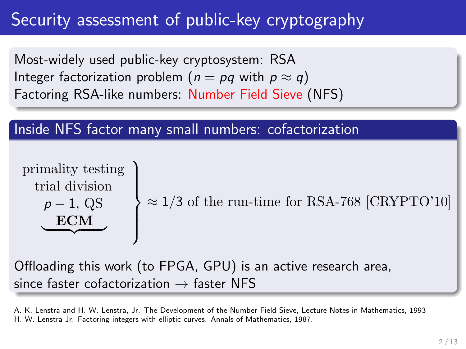# Security assessment of public-key cryptography

Most-widely used public-key cryptosystem: RSA Integer factorization problem ( $n = pq$  with  $p \approx q$ ) Factoring RSA-like numbers: Number Field Sieve (NFS)

### Inside NFS factor many small numbers: cofactorization

$$
\begin{array}{c}\n\text{primality testing} \\
\text{trial division} \\
\hline\n\rho - 1, \text{QS} \\
\hline\n\text{ECM}\n\end{array}\n\right\} ≈ 1/3 \text{ of the run-time for RSA-768 [CRYPTO'10]}
$$

Offloading this work (to FPGA, GPU) is an active research area, since faster cofactorization  $\rightarrow$  faster NFS

A. K. Lenstra and H. W. Lenstra, Jr. The Development of the Number Field Sieve, Lecture Notes in Mathematics, 1993 H. W. Lenstra Jr. Factoring integers with elliptic curves. Annals of Mathematics, 1987.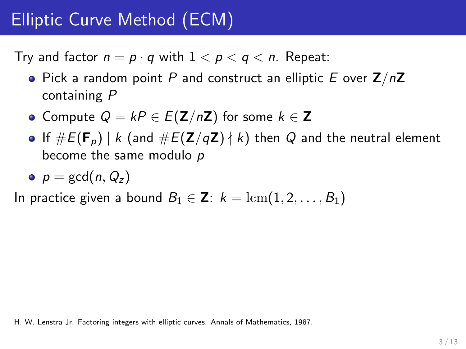# Elliptic Curve Method (ECM)

Try and factor  $n = p \cdot q$  with  $1 < p < q < n$ . Repeat:

- Pick a random point P and construct an elliptic E over  $Z/nZ$ containing P
- Compute  $Q = kP \in E(\mathbf{Z}/n\mathbf{Z})$  for some  $k \in \mathbf{Z}$
- If  $\#E(\mathbf{F}_p) \mid k$  (and  $\#E(\mathbf{Z}/q\mathbf{Z}) \nmid k$ ) then Q and the neutral element become the same modulo p
- $p = \gcd(n, Q_z)$

In practice given a bound  $B_1 \in \mathbb{Z}: k = \text{lcm}(1, 2, \ldots, B_1)$ 

H. W. Lenstra Jr. Factoring integers with elliptic curves. Annals of Mathematics, 1987.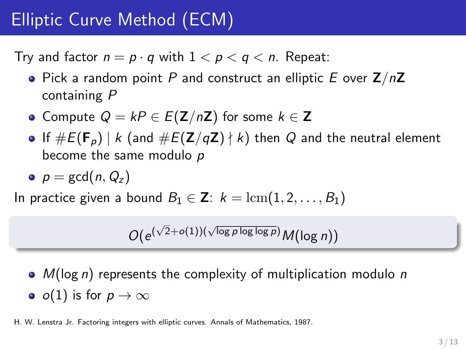# Elliptic Curve Method (ECM)

Try and factor  $n = p \cdot q$  with  $1 < p < q < n$ . Repeat:

- Pick a random point P and construct an elliptic E over  $Z/nZ$ containing P
- Compute  $Q = kP \in E(\mathbf{Z}/n\mathbf{Z})$  for some  $k \in \mathbf{Z}$
- If  $\#E(\mathbf{F}_p) \mid k$  (and  $\#E(\mathbf{Z}/q\mathbf{Z}) \nmid k$ ) then Q and the neutral element become the same modulo p
- $p = \gcd(n, Q_z)$

In practice given a bound  $B_1 \in \mathbb{Z}: k = \text{lcm}(1, 2, \ldots, B_1)$ 

$$
O(e^{(\sqrt{2}+o(1))(\sqrt{\log p \log \log p})}M(\log n))
$$

 $\bullet$   $M(\log n)$  represents the complexity of multiplication modulo n •  $o(1)$  is for  $p \to \infty$ 

H. W. Lenstra Jr. Factoring integers with elliptic curves. Annals of Mathematics, 1987.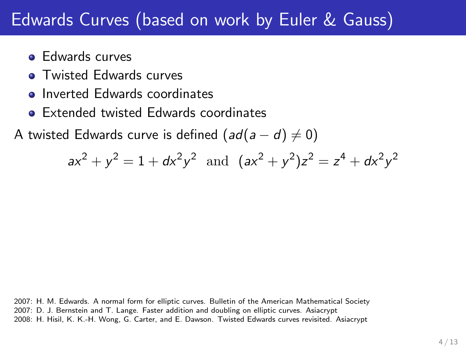# Edwards Curves (based on work by Euler & Gauss)

- **e** Edwards curves
- **Twisted Edwards curves**
- **o** Inverted Edwards coordinates
- **Extended twisted Edwards coordinates**

A twisted Edwards curve is defined  $(ad(a-d) \neq 0)$ 

$$
ax^2 + y^2 = 1 + dx^2y^2
$$
 and  $(ax^2 + y^2)z^2 = z^4 + dx^2y^2$ 

2007: H. M. Edwards. A normal form for elliptic curves. Bulletin of the American Mathematical Society 2007: D. J. Bernstein and T. Lange. Faster addition and doubling on elliptic curves. Asiacrypt 2008: H. Hisil, K. K.-H. Wong, G. Carter, and E. Dawson. Twisted Edwards curves revisited. Asiacrypt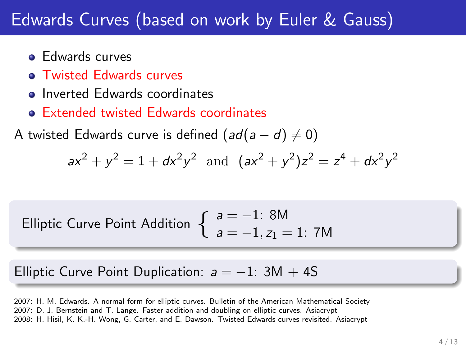# Edwards Curves (based on work by Euler & Gauss)

- **Edwards curves**
- **Twisted Edwards curves**
- **o** Inverted Edwards coordinates
- Extended twisted Edwards coordinates

A twisted Edwards curve is defined  $(ad(a-d) \neq 0)$ 

$$
ax^2 + y^2 = 1 + dx^2y^2
$$
 and  $(ax^2 + y^2)z^2 = z^4 + dx^2y^2$ 

Elliptic Curve Point Addition 
$$
\begin{cases} a = -1: 8M \\ a = -1, z_1 = 1: 7M \end{cases}
$$

Elliptic Curve Point Duplication:  $a = -1$ : 3M + 4S

2007: H. M. Edwards. A normal form for elliptic curves. Bulletin of the American Mathematical Society 2007: D. J. Bernstein and T. Lange. Faster addition and doubling on elliptic curves. Asiacrypt 2008: H. Hisil, K. K.-H. Wong, G. Carter, and E. Dawson. Twisted Edwards curves revisited. Asiacrypt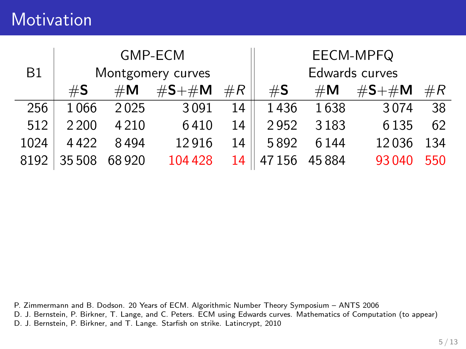## **Motivation**

|           | <b>GMP-ECM</b><br>Montgomery curves |                |             | EECM-MPFQ      |                |                |             |       |
|-----------|-------------------------------------|----------------|-------------|----------------|----------------|----------------|-------------|-------|
| <b>B1</b> |                                     |                |             | Edwards curves |                |                |             |       |
|           | $\#\mathsf{S}$                      | $\#\mathsf{M}$ | $\#S + \#M$ | #R             | $\#\mathsf{S}$ | $\#\mathsf{M}$ | $\#S + \#M$ | $\#R$ |
| 256       | 1066                                | 2025           | 3091        | 14             | 1436           | 1638           | 3074        | 38    |
| 512       | 2 2 0 0                             | 4 2 1 0        | 6410        | 14             | 2952           | 3183           | 6 1 3 5     | 62    |
| 1024      | 4422                                | 8494           | 12916       | 14             | 5892           | 6144           | 12036       | 134   |
| 8192      | 35 508                              | 68920          | 104 428     | 14             | 47156          | 45884          | 93 040      | 550   |

P. Zimmermann and B. Dodson. 20 Years of ECM. Algorithmic Number Theory Symposium – ANTS 2006 D. J. Bernstein, P. Birkner, T. Lange, and C. Peters. ECM using Edwards curves. Mathematics of Computation (to appear)

D. J. Bernstein, P. Birkner, and T. Lange. Starfish on strike. Latincrypt, 2010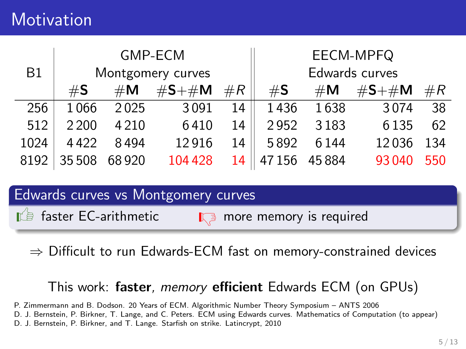## **Motivation**

|      | GMP-ECM<br>Montgomery curves |                |             | EECM-MPFQ      |                |                |             |       |
|------|------------------------------|----------------|-------------|----------------|----------------|----------------|-------------|-------|
| B1   |                              |                |             | Edwards curves |                |                |             |       |
|      | #S                           | $\#\mathsf{M}$ | $\#S + \#M$ | $\#R$          | $\#\mathsf{S}$ | $\#\mathsf{M}$ | $\#S + \#M$ | $\#R$ |
| 256  | 1066                         | 2025           | 3091        | 14             | 1436           | 1638           | 3074        | 38    |
| 512  | 2 2 0 0                      | 4 2 1 0        | 6410        | 14             | 2952           | 3183           | 6 1 3 5     | 62    |
| 1024 | 4422                         | 8494           | 12916       | 14             | 5892           | 6144           | 12036       | 134   |
| 8192 | 35 508                       | 68920          | 104 428     | 14             | 47156          | 45884          | 93 040      | 550   |

#### Edwards curves vs Montgomery curves

 $\Box$  faster EC-arithmetic  $\Box$  more memory is required

 $\Rightarrow$  Difficult to run Edwards-ECM fast on memory-constrained devices

#### This work: faster, memory efficient Edwards ECM (on GPUs)

P. Zimmermann and B. Dodson. 20 Years of ECM. Algorithmic Number Theory Symposium – ANTS 2006

D. J. Bernstein, P. Birkner, T. Lange, and C. Peters. ECM using Edwards curves. Mathematics of Computation (to appear)

D. J. Bernstein, P. Birkner, and T. Lange. Starfish on strike. Latincrypt, 2010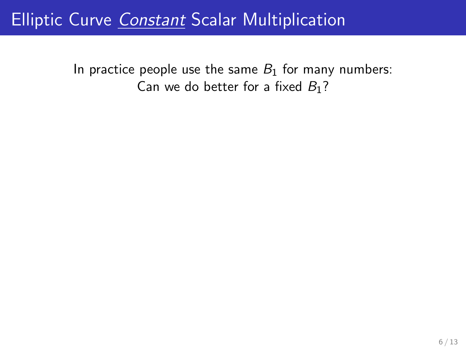In practice people use the same  $B_1$  for many numbers: Can we do better for a fixed  $B_1$ ?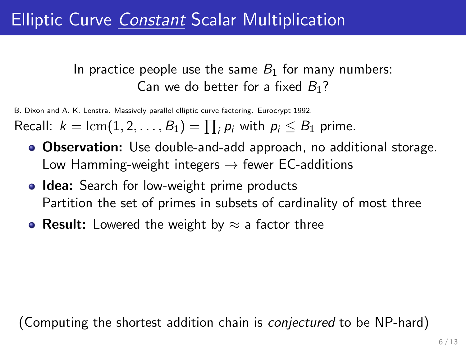### In practice people use the same  $B_1$  for many numbers: Can we do better for a fixed  $B_1$ ?

B. Dixon and A. K. Lenstra. Massively parallel elliptic curve factoring. Eurocrypt 1992.

Recall:  $k = \text{lcm}(1, 2, \ldots, B_1) = \prod_i p_i$  with  $p_i \leq B_1$  prime.

- **Observation:** Use double-and-add approach, no additional storage. Low Hamming-weight integers  $\rightarrow$  fewer EC-additions
- **Idea:** Search for low-weight prime products Partition the set of primes in subsets of cardinality of most three
- Result: Lowered the weight by  $\approx$  a factor three

(Computing the shortest addition chain is conjectured to be NP-hard)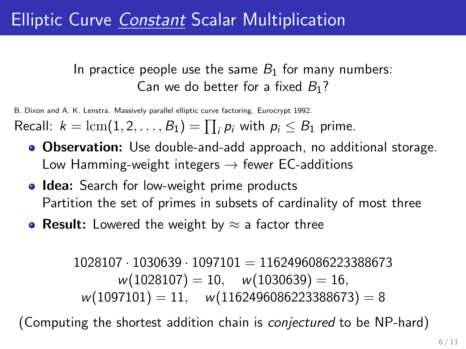### In practice people use the same  $B_1$  for many numbers: Can we do better for a fixed  $B_1$ ?

B. Dixon and A. K. Lenstra. Massively parallel elliptic curve factoring. Eurocrypt 1992.

Recall:  $k = \text{lcm}(1, 2, \ldots, B_1) = \prod_i p_i$  with  $p_i \leq B_1$  prime.

- **Observation:** Use double-and-add approach, no additional storage. Low Hamming-weight integers  $\rightarrow$  fewer EC-additions
- **Idea:** Search for low-weight prime products Partition the set of primes in subsets of cardinality of most three
- Result: Lowered the weight by  $\approx$  a factor three

```
1028107 \cdot 1030639 \cdot 1097101 = 1162496086223388673w(1028107) = 10, \quad w(1030639) = 16,w(1097101) = 11, \quad w(1162496086223388673) = 8
```
(Computing the shortest addition chain is conjectured to be NP-hard)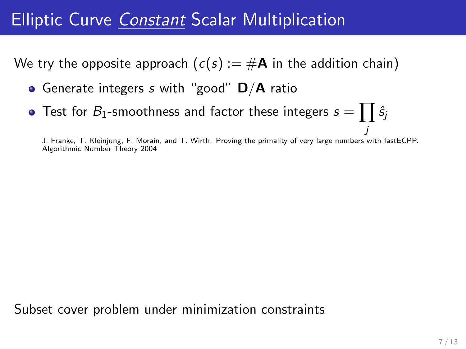We try the opposite approach  $(c(s) := #A$  in the addition chain)

- Generate integers s with "good"  $D/A$  ratio
- Test for  $\mathit{B}_{1}$ -smoothness and factor these integers  $s=\prod\hat{s}_{j}$

j J. Franke, T. Kleinjung, F. Morain, and T. Wirth. Proving the primality of very large numbers with fastECPP. Algorithmic Number Theory 2004

Subset cover problem under minimization constraints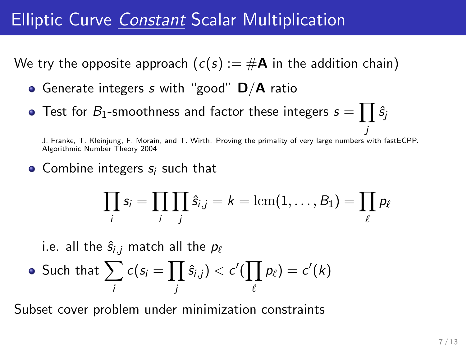We try the opposite approach  $(c(s) := #A$  in the addition chain)

- **•** Generate integers s with "good"  $D/A$  ratio
- Test for  $\mathit{B}_{1}$ -smoothness and factor these integers  $s=\prod\hat{s}_{j}$

j J. Franke, T. Kleinjung, F. Morain, and T. Wirth. Proving the primality of very large numbers with fastECPP. Algorithmic Number Theory 2004

• Combine integers  $s_i$  such that

$$
\prod_i s_i = \prod_i \prod_j \hat{s}_{i,j} = k = \text{lcm}(1,\ldots,B_1) = \prod_\ell p_\ell
$$

i.e. all the  $\hat{s}_{i,j}$  match all the  $p_\ell$ 

• Such that 
$$
\sum_{i} c(s_i = \prod_{j} \hat{s}_{i,j}) < c'(\prod_{\ell} p_{\ell}) = c'(k)
$$

Subset cover problem under minimization constraints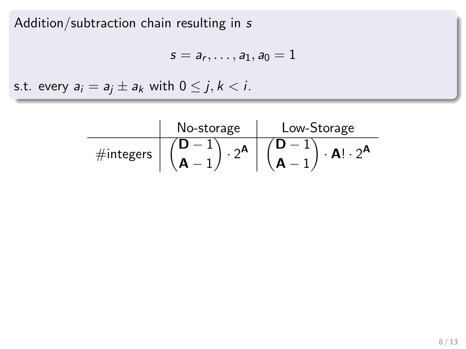Addition/subtraction chain resulting in s

$$
s=a_r,\ldots,a_1,a_0=1
$$

s.t. every  $a_i = a_j \pm a_k$  with  $0 \leq j, k < i$ .

|                           | No-storage | Low-Storage |
|---------------------------|------------|-------------|
| $\#$ integers $^{\prime}$ |            |             |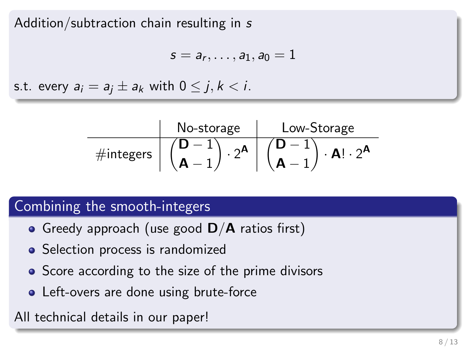Addition/subtraction chain resulting in s

$$
s=a_r,\ldots,a_1,a_0=1
$$

s.t. every  $a_i = a_i \pm a_k$  with  $0 \leq j, k < i$ .

|              | No-storage | Low-Storage    |
|--------------|------------|----------------|
| $#$ integers |            | $A! \cdot 2^A$ |

### Combining the smooth-integers

- Greedy approach (use good  $D/A$  ratios first)
- Selection process is randomized
- Score according to the size of the prime divisors
- Left-overs are done using brute-force

All technical details in our paper!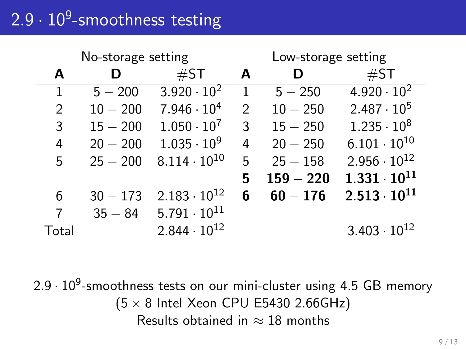# 2.9  $\cdot$   $10^9$ -smoothness testing

| No-storage setting |            |                       | Low-storage setting |             |                       |
|--------------------|------------|-----------------------|---------------------|-------------|-----------------------|
| A                  | D          | #ST                   | A                   | D           | $\#ST$                |
| $\mathbf{1}$       | $5 - 200$  | $3.920 \cdot 10^{2}$  | 1                   | $5 - 250$   | $4.920 \cdot 10^{2}$  |
| 2                  | $10 - 200$ | $7.946 \cdot 10^{4}$  | $\mathcal{P}$       | $10 - 250$  | $2.487 \cdot 10^5$    |
| 3                  | $15 - 200$ | $1.050 \cdot 10^7$    | 3                   | $15 - 250$  | $1.235 \cdot 10^8$    |
| 4                  | $20 - 200$ | $1.035 \cdot 10^{9}$  | 4                   | $20 - 250$  | $6.101 \cdot 10^{10}$ |
| 5                  | $25 - 200$ | $8.114 \cdot 10^{10}$ | 5                   | $25 - 158$  | $2.956 \cdot 10^{12}$ |
|                    |            |                       | 5                   | $159 - 220$ | $1.331 \cdot 10^{11}$ |
| 6                  | $30 - 173$ | $2.183 \cdot 10^{12}$ | 6                   | $60 - 176$  | $2.513 \cdot 10^{11}$ |
| 7                  | $35 - 84$  | $5.791 \cdot 10^{11}$ |                     |             |                       |
| Total              |            | $2.844 \cdot 10^{12}$ |                     |             | $3.403 \cdot 10^{12}$ |

 $2.9 \cdot 10^9$ -smoothness tests on our mini-cluster using 4.5 GB memory  $(5 \times 8$  Intel Xeon CPU E5430 2.66GHz) Results obtained in  $\approx$  18 months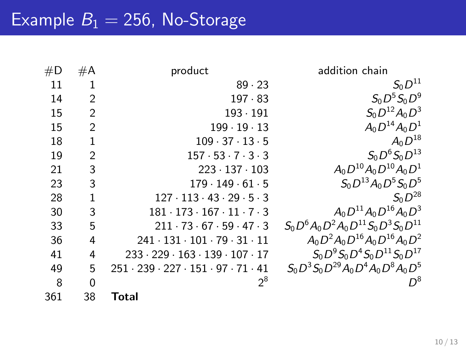| #D  | #A             | product                                                        | addition chain                                  |
|-----|----------------|----------------------------------------------------------------|-------------------------------------------------|
| 11  | 1              | 89.23                                                          | $S_0D^{11}$                                     |
| 14  | $\overline{2}$ | $197 \cdot 83$                                                 | $S_0D^5S_0D^9$                                  |
| 15  | $\overline{2}$ | $193 \cdot 191$                                                | $S_0D^{12}A_0D^3$                               |
| 15  | $\overline{2}$ | $199 \cdot 19 \cdot 13$                                        | $A_0D^{14}A_0D^1$                               |
| 18  | $\mathbf{1}$   | $109 \cdot 37 \cdot 13 \cdot 5$                                | $A_0D^{18}$                                     |
| 19  | $\overline{2}$ | $157 \cdot 53 \cdot 7 \cdot 3 \cdot 3$                         | $S_0 D^6 S_0 D^{13}$                            |
| 21  | 3              | $223 \cdot 137 \cdot 103$                                      | $A_0D^{10}A_0D^{10}A_0D^1$                      |
| 23  | 3              | $179 \cdot 149 \cdot 61 \cdot 5$                               | $S_0 D^{13} A_0 D^5 S_0 D^5$                    |
| 28  | 1              | $127 \cdot 113 \cdot 43 \cdot 29 \cdot 5 \cdot 3$              | $S_0D^{28}$                                     |
| 30  | 3              | $181 \cdot 173 \cdot 167 \cdot 11 \cdot 7 \cdot 3$             | $A_0D^{11}A_0D^{16}A_0D^3$                      |
| 33  | 5              | $211 \cdot 73 \cdot 67 \cdot 59 \cdot 47 \cdot 3$              | $S_0 D^6 A_0 D^2 A_0 D^{11} S_0 D^3 S_0 D^{11}$ |
| 36  | 4              | $241 \cdot 131 \cdot 101 \cdot 79 \cdot 31 \cdot 11$           | $A_0D^2A_0D^{16}A_0D^{16}A_0D^2$                |
| 41  | 4              | $233 \cdot 229 \cdot 163 \cdot 139 \cdot 107 \cdot 17$         | $S_0 D^9 S_0 D^4 S_0 D^{11} S_0 D^{17}$         |
| 49  | 5              | $251 \cdot 239 \cdot 227 \cdot 151 \cdot 97 \cdot 71 \cdot 41$ | $S_0 D^3 S_0 D^{29} A_0 D^4 A_0 D^8 A_0 D^5$    |
| 8   | 0              | $2^8$                                                          | $D^8$                                           |
| 361 | 38             | Total                                                          |                                                 |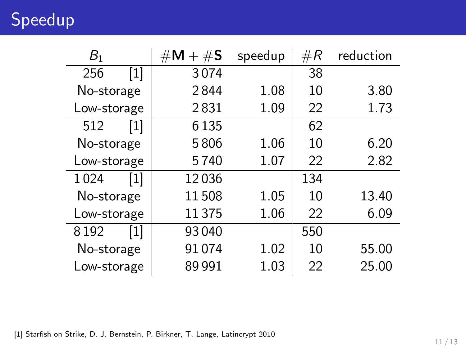Speedup

| B <sub>1</sub> |       | $\#\mathsf{M} + \#\mathsf{S}$ | speedup | $\#R$ | reduction |
|----------------|-------|-------------------------------|---------|-------|-----------|
| 256            | $[1]$ | 3074                          |         | 38    |           |
| No-storage     |       | 2844                          | 1.08    | 10    | 3.80      |
| Low-storage    |       | 2831                          | 1.09    | 22    | 1.73      |
| 512            | $[1]$ | 6 1 3 5                       |         | 62    |           |
| No-storage     |       | 5806                          | 1.06    | 10    | 6.20      |
| Low-storage    |       | 5740                          | 1.07    | 22    | 2.82      |
| 1024           | $[1]$ | 12036                         |         | 134   |           |
| No-storage     |       | 11508                         | 1.05    | 10    | 13.40     |
| Low-storage    |       | 11 375                        | 1.06    | 22    | 6.09      |
| 8192           | [1]   | 93040                         |         | 550   |           |
| No-storage     |       | 91074                         | 1.02    | 10    | 55.00     |
| Low-storage    |       | 89991                         | 1.03    | 22    | 25.00     |

[1] Starfish on Strike, D. J. Bernstein, P. Birkner, T. Lange, Latincrypt 2010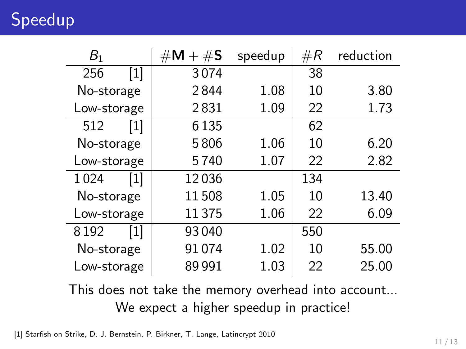Speedup

| B <sub>1</sub> |       | $\#\mathsf{M} + \#\mathsf{S}$ | speedup | $\#R$ | reduction |
|----------------|-------|-------------------------------|---------|-------|-----------|
| 256            | $[1]$ | 3074                          |         | 38    |           |
| No-storage     |       | 2844                          | 1.08    | 10    | 3.80      |
| Low-storage    |       | 2831                          | 1.09    | 22    | 1.73      |
| 512            | $[1]$ | 6 1 3 5                       |         | 62    |           |
| No-storage     |       | 5806                          | 1.06    | 10    | 6.20      |
| Low-storage    |       | 5740                          | 1.07    | 22    | 2.82      |
| 1024           | $[1]$ | 12036                         |         | 134   |           |
| No-storage     |       | 11508                         | 1.05    | 10    | 13.40     |
| Low-storage    |       | 11 375                        | 1.06    | 22    | 6.09      |
| 8192           | [1]   | 93040                         |         | 550   |           |
| No-storage     |       | 91074                         | 1.02    | 10    | 55.00     |
| Low-storage    |       | 89991                         | 1.03    | 22    | 25.00     |

This does not take the memory overhead into account... We expect a higher speedup in practice!

[1] Starfish on Strike, D. J. Bernstein, P. Birkner, T. Lange, Latincrypt 2010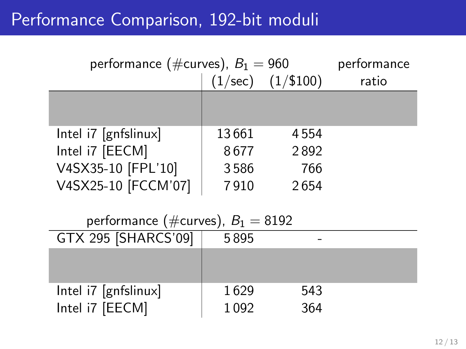## Performance Comparison, 192-bit moduli

| performance (#curves), $B_1 = 960$           | performance |                       |       |
|----------------------------------------------|-------------|-----------------------|-------|
|                                              |             | $(1/sec)$ $(1/\$100)$ | ratio |
|                                              |             |                       |       |
| $\left[ \text{Intel } 7 \right]$ [gnfslinux] | 13661       | 4554                  |       |
| Intel i7 [EECM]                              | 8677        | 2892                  |       |
| V4SX35-10 [FPL'10]                           | 3586        | 766                   |       |
| V4SX25-10 [FCCM'07]                          | 7910        | 2654                  |       |
|                                              |             |                       |       |
| performance (#curves), $B_1 = 8192$          |             |                       |       |
| GTX 295 [SHARCS'09]                          | 5895        |                       |       |
|                                              |             |                       |       |
|                                              |             |                       |       |
|                                              |             |                       |       |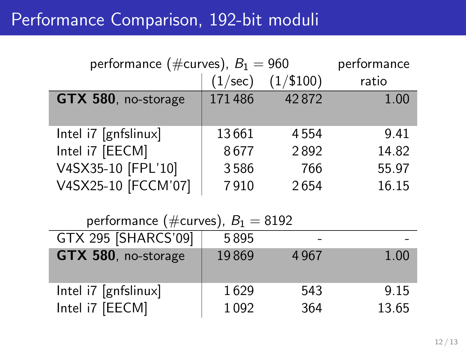## Performance Comparison, 192-bit moduli

| performance (#curves), $B_1 = 960$ | performance |             |       |
|------------------------------------|-------------|-------------|-------|
|                                    | (1/sec)     | $(1/\$100)$ | ratio |
| GTX 580, no-storage                | 171486      | 42872       | 1.00  |
| Intel i7 [gnfslinux]               | 13661       | 4554        | 9.41  |
| Intel i7 [EECM]                    | 8677        | 2892        | 14.82 |
| V4SX35-10 [FPL'10]                 | 3586        | 766         | 55.97 |
| V4SX25-10 [FCCM'07]                | 7910        | 2654        | 16.15 |

| performance (#curves), $B_1 = 8192$ |       |      |       |  |  |
|-------------------------------------|-------|------|-------|--|--|
| GTX 295 [SHARCS'09]                 | 5895  |      |       |  |  |
| GTX 580, no-storage                 | 19869 | 4967 | 1.00  |  |  |
| Intel i7 [gnfslinux]                | 1629  | 543  | 9.15  |  |  |
| Intel i7 [EECM]                     | 1092  | 364  | 13.65 |  |  |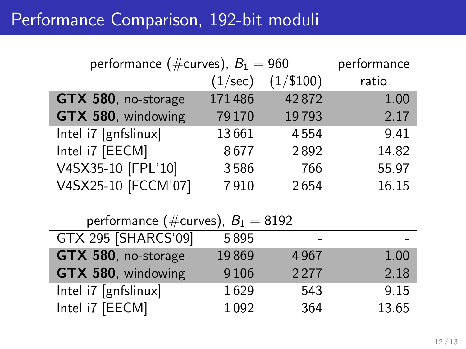## Performance Comparison, 192-bit moduli

| performance (#curves), $B_1 = 960$ | performance      |             |       |
|------------------------------------|------------------|-------------|-------|
|                                    | $(1/\text{sec})$ | $(1/\$100)$ | ratio |
| GTX 580, no-storage                | 171486           | 42872       | 1.00  |
| GTX 580, windowing                 | 79170            | 19793       | 2.17  |
| Intel i7 [gnfslinux]               | 13661            | 4554        | 9.41  |
| Intel i7 [EECM]                    | 8677             | 2892        | 14.82 |
| V4SX35-10 [FPL'10]                 | 3586             | 766         | 55.97 |
| V4SX25-10 [FCCM'07]                | 7910             | 2654        | 16.15 |

| performance (#curves), $B_1 = 8192$ |         |      |       |
|-------------------------------------|---------|------|-------|
| GTX 295 [SHARCS'09]                 | 5895    |      |       |
| GTX 580, no-storage                 | 19869   | 4967 | 1.00  |
| GTX 580, windowing                  | 9 1 0 6 | 2277 | 2.18  |
| Intel i7 [gnfslinux]                | 1629    | 543  | 9.15  |
| Intel i7 [EECM]                     | 1092    | 364  | 13.65 |